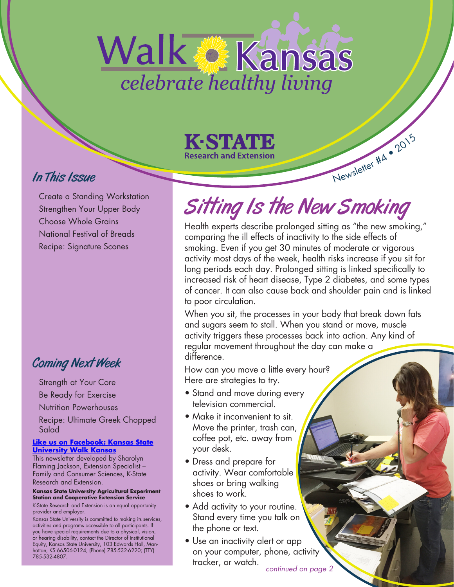

KESTATE **Research and Extension** 

### In This Issue

Create a Standing Workstation Strengthen Your Upper Body Choose Whole Grains National Festival of Breads Recipe: Signature Scones

## Coming Next Week

Strength at Your Core

Be Ready for Exercise

Nutrition Powerhouses

Recipe: Ultimate Greek Chopped Salad

#### **[Like us on Facebook: Kansas State](https://www.facebook.com/pages/Kansas-State-University-Walk-Kansas/177557062285516) [University Walk Kansas](https://www.facebook.com/pages/Kansas-State-University-Walk-Kansas/177557062285516)**

This newsletter developed by Sharolyn Flaming Jackson, Extension Specialist – Family and Consumer Sciences, K-State Research and Extension.

**Kansas State University Agricultural Experiment Station and Cooperative Extension Service**

K-State Research and Extension is an equal opportunity provider and employer.

Kansas State University is committed to making its services, activities and programs accessible to all participants. If you have special requirements due to a physical, vision, or hearing disability, contact the Director of Institutional Equity, Kansas State University, 103 Edwards Hall, Manhattan, KS 66506-0124, (Phone) 785-532-6220; (TTY) 785-532-4807.

# Sitting Is the New Smoking

Newsletter #4 . 2015

Health experts describe prolonged sitting as "the new smoking," comparing the ill effects of inactivity to the side effects of smoking. Even if you get 30 minutes of moderate or vigorous activity most days of the week, health risks increase if you sit for long periods each day. Prolonged sitting is linked specifically to increased risk of heart disease, Type 2 diabetes, and some types of cancer. It can also cause back and shoulder pain and is linked to poor circulation.

When you sit, the processes in your body that break down fats and sugars seem to stall. When you stand or move, muscle activity triggers these processes back into action. Any kind of regular movement throughout the day can make a difference.

How can you move a little every hour? Here are strategies to try.

- Stand and move during every television commercial.
- Make it inconvenient to sit. Move the printer, trash can, coffee pot, etc. away from your desk.
- Dress and prepare for activity. Wear comfortable shoes or bring walking shoes to work.
- Add activity to your routine. Stand every time you talk on the phone or text.
- Use an inactivity alert or app on your computer, phone, activity tracker, or watch.

*continued on page 2*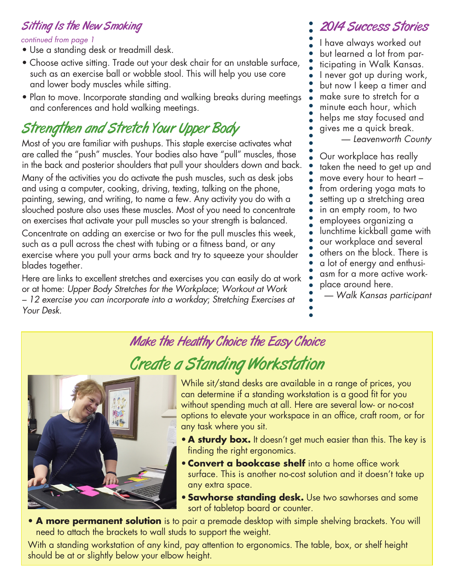### Sitting Is the New Smoking

#### *continued from page 1*

- Use a standing desk or treadmill desk.
- Choose active sitting. Trade out your desk chair for an unstable surface, such as an exercise ball or wobble stool. This will help you use core and lower body muscles while sitting.
- Plan to move. Incorporate standing and walking breaks during meetings and conferences and hold walking meetings.

## Strengthen and Stretch Your Upper Body

Most of you are familiar with pushups. This staple exercise activates what are called the "push" muscles. Your bodies also have "pull" muscles, those in the back and posterior shoulders that pull your shoulders down and back.

Many of the activities you do activate the push muscles, such as desk jobs and using a computer, cooking, driving, texting, talking on the phone, painting, sewing, and writing, to name a few. Any activity you do with a slouched posture also uses these muscles. Most of you need to concentrate on exercises that activate your pull muscles so your strength is balanced.

Concentrate on adding an exercise or two for the pull muscles this week, such as a pull across the chest with tubing or a fitness band, or any exercise where you pull your arms back and try to squeeze your shoulder blades together.

Here are links to excellent stretches and exercises you can easily do at work or at home: *[Upper Body Stretches for the Workplace](http://www.mayoclinic.org/healthy-living/adult-health/multimedia/shoulder-stretches/vid-20084699)*; *[Workout at Work](http://www.washingtonpost.com/wp-srv/special/health/workout-at-work/)  [– 12 exercise you can incorporate into a workday](http://www.washingtonpost.com/wp-srv/special/health/workout-at-work/)*; *[Stretching Exercises at](http://www.webmd.com/fitness-exercise/stretching-exercises-at-your-desk-12-simple-tips%3Fpage%3D2)  [Your Desk](http://www.webmd.com/fitness-exercise/stretching-exercises-at-your-desk-12-simple-tips%3Fpage%3D2)*.

### 2014 Success Stories

I have always worked out but learned a lot from participating in Walk Kansas. I never got up during work, but now I keep a timer and make sure to stretch for a minute each hour, which helps me stay focused and gives me a quick break. — *Leavenworth County* Our workplace has really

taken the need to get up and move every hour to heart – from ordering yoga mats to setting up a stretching area in an empty room, to two employees organizing a lunchtime kickball game with our workplace and several others on the block. There is a lot of energy and enthusiasm for a more active workplace around here.

*— Walk Kansas participant*

## Make the Healthy Choice the Easy Choice Create a Standing Workstation



While sit/stand desks are available in a range of prices, you can determine if a standing workstation is a good fit for you without spending much at all. Here are several low- or no-cost options to elevate your workspace in an office, craft room, or for any task where you sit.

- **A sturdy box.** It doesn't get much easier than this. The key is finding the right ergonomics.
- **Convert a bookcase shelf** into a home office work surface. This is another no-cost solution and it doesn't take up any extra space.
- **Sawhorse standing desk.** Use two sawhorses and some sort of tabletop board or counter.
- **A more permanent solution** is to pair a premade desktop with simple shelving brackets. You will need to attach the brackets to wall studs to support the weight.

With a standing workstation of any kind, pay attention to ergonomics. The table, box, or shelf height should be at or slightly below your elbow height.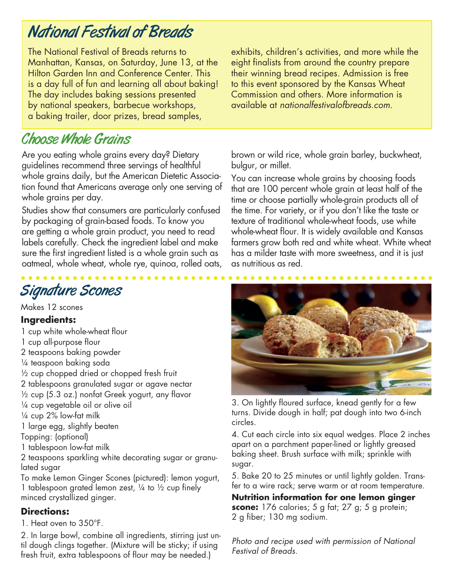## National Festival of Breads

The National Festival of Breads returns to Manhattan, Kansas, on Saturday, June 13, at the Hilton Garden Inn and Conference Center. This is a day full of fun and learning all about baking! The day includes baking sessions presented by national speakers, barbecue workshops, a baking trailer, door prizes, bread samples,

## Choose Whole Grains

Are you eating whole grains every day? Dietary guidelines recommend three servings of healthful whole grains daily, but the American Dietetic Association found that Americans average only one serving of whole grains per day.

Studies show that consumers are particularly confused by packaging of grain-based foods. To know you are getting a whole grain product, you need to read labels carefully. Check the ingredient label and make sure the first ingredient listed is a whole grain such as oatmeal, whole wheat, whole rye, quinoa, rolled oats,

## Signature Scones

Makes 12 scones

#### **Ingredients:**

- 1 cup white whole-wheat flour
- 1 cup all-purpose flour
- 2 teaspoons baking powder
- ¼ teaspoon baking soda
- ½ cup chopped dried or chopped fresh fruit
- 2 tablespoons granulated sugar or agave nectar
- ½ cup (5.3 oz.) nonfat Greek yogurt, any flavor
- ¼ cup vegetable oil or olive oil
- ¼ cup 2% low-fat milk
- 1 large egg, slightly beaten
- Topping: (optional)
- 1 tablespoon low-fat milk

2 teaspoons sparkling white decorating sugar or granulated sugar

To make Lemon Ginger Scones (pictured): lemon yogurt, 1 tablespoon grated lemon zest,  $\frac{1}{4}$  to  $\frac{1}{2}$  cup finely minced crystallized ginger.

### **Directions:**

1. Heat oven to 350°F.

2. In large bowl, combine all ingredients, stirring just until dough clings together. (Mixture will be sticky; if using fresh fruit, extra tablespoons of flour may be needed.)

exhibits, children's activities, and more while the eight finalists from around the country prepare their winning bread recipes. Admission is free to this event sponsored by the Kansas Wheat Commission and others. More information is available at *[nationalfestivalofbreads.com](http://nationalfestivalofbreads.com)*.

brown or wild rice, whole grain barley, buckwheat, bulgur, or millet.

You can increase whole grains by choosing foods that are 100 percent whole grain at least half of the time or choose partially whole-grain products all of the time. For variety, or if you don't like the taste or texture of traditional whole-wheat foods, use white whole-wheat flour. It is widely available and Kansas farmers grow both red and white wheat. White wheat has a milder taste with more sweetness, and it is just as nutritious as red.



3. On lightly floured surface, knead gently for a few turns. Divide dough in half; pat dough into two 6-inch circles.

4. Cut each circle into six equal wedges. Place 2 inches apart on a parchment paper-lined or lightly greased baking sheet. Brush surface with milk; sprinkle with sugar.

5. Bake 20 to 25 minutes or until lightly golden. Transfer to a wire rack; serve warm or at room temperature.

**Nutrition information for one lemon ginger scone:** 176 calories; 5 g fat; 27 g; 5 g protein;

2 g fiber; 130 mg sodium. *Photo and recipe used with permission of National* 

*Festival of Breads.*